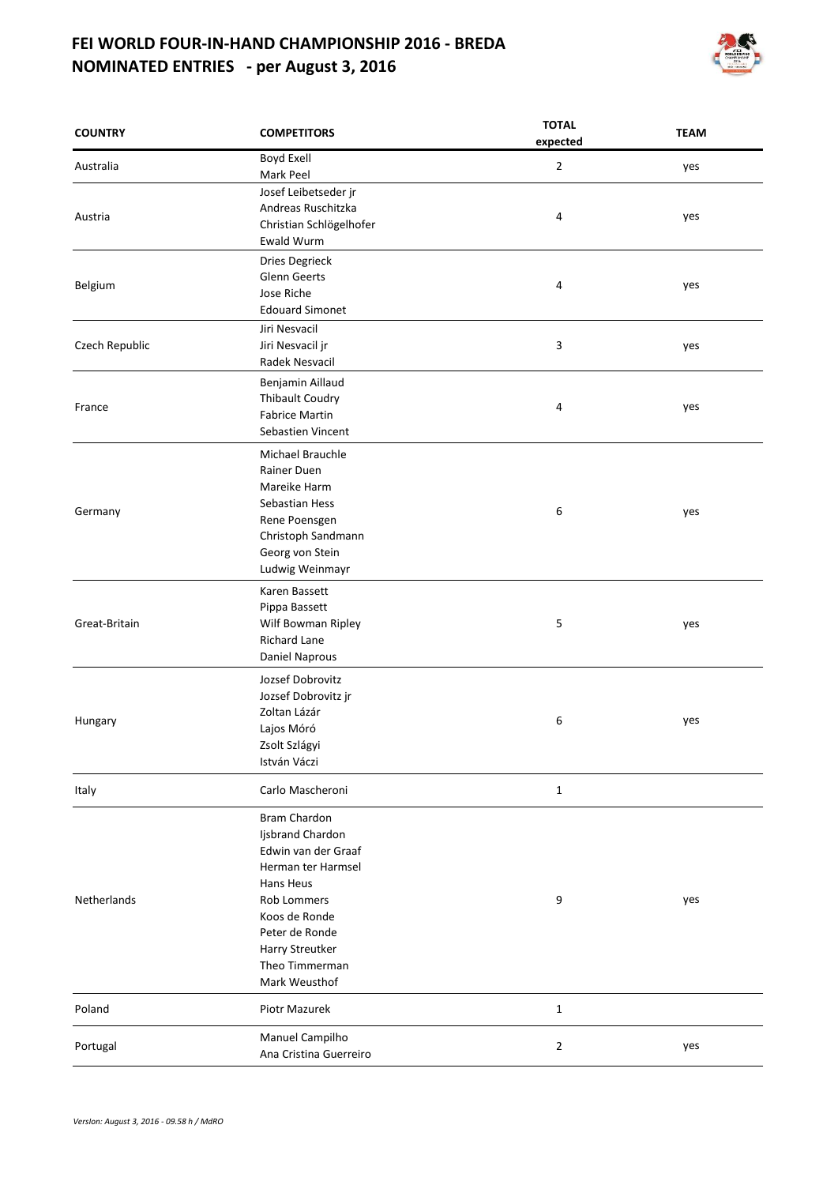## **FEI WORLD FOUR-IN-HAND CHAMPIONSHIP 2016 - BREDA NOMINATED ENTRIES - per August 3, 2016**



| <b>COUNTRY</b>     | <b>COMPETITORS</b>      | expected                                                        | <b>TEAM</b> |
|--------------------|-------------------------|-----------------------------------------------------------------|-------------|
| Australia          | Boyd Exell              | $\overline{2}$                                                  | yes         |
|                    | Mark Peel               |                                                                 |             |
|                    | Josef Leibetseder jr    | <b>TOTAL</b><br>4<br>4<br>3<br>4<br>6<br>5<br>6<br>$\mathbf{1}$ |             |
| Austria            | Andreas Ruschitzka      |                                                                 | yes         |
|                    | Christian Schlögelhofer |                                                                 |             |
|                    | <b>Ewald Wurm</b>       |                                                                 |             |
|                    | Dries Degrieck          |                                                                 |             |
| Belgium            | <b>Glenn Geerts</b>     |                                                                 | yes         |
|                    | Jose Riche              |                                                                 |             |
|                    | <b>Edouard Simonet</b>  |                                                                 |             |
|                    | Jiri Nesvacil           |                                                                 |             |
| Czech Republic     | Jiri Nesvacil jr        |                                                                 |             |
|                    | Radek Nesvacil          |                                                                 |             |
|                    |                         |                                                                 |             |
|                    | Benjamin Aillaud        |                                                                 |             |
| France             | <b>Thibault Coudry</b>  |                                                                 | yes         |
|                    | <b>Fabrice Martin</b>   |                                                                 |             |
|                    | Sebastien Vincent       |                                                                 |             |
|                    | Michael Brauchle        |                                                                 |             |
|                    | <b>Rainer Duen</b>      |                                                                 |             |
|                    | Mareike Harm            |                                                                 |             |
|                    | Sebastian Hess          |                                                                 | yes         |
| Germany            | Rene Poensgen           |                                                                 |             |
|                    | Christoph Sandmann      |                                                                 |             |
|                    | Georg von Stein         |                                                                 |             |
|                    | Ludwig Weinmayr         |                                                                 |             |
|                    |                         |                                                                 |             |
|                    | Karen Bassett           |                                                                 |             |
| Great-Britain      | Pippa Bassett           |                                                                 |             |
|                    | Wilf Bowman Ripley      |                                                                 |             |
|                    | <b>Richard Lane</b>     |                                                                 |             |
|                    | Daniel Naprous          |                                                                 |             |
|                    | Jozsef Dobrovitz        |                                                                 |             |
| Hungary            | Jozsef Dobrovitz jr     |                                                                 |             |
|                    | Zoltan Lázár            |                                                                 |             |
|                    | Lajos Móró              |                                                                 |             |
|                    | Zsolt Szlágyi           |                                                                 |             |
|                    | István Váczi            |                                                                 |             |
|                    |                         |                                                                 |             |
| Italy              | Carlo Mascheroni        |                                                                 |             |
| <b>Netherlands</b> | <b>Bram Chardon</b>     |                                                                 |             |
|                    | Ijsbrand Chardon        |                                                                 |             |
|                    | Edwin van der Graaf     |                                                                 |             |
|                    | Herman ter Harmsel      |                                                                 |             |
|                    | Hans Heus               |                                                                 |             |
|                    | <b>Rob Lommers</b>      |                                                                 |             |
|                    | Koos de Ronde           |                                                                 |             |
|                    | Peter de Ronde          |                                                                 |             |
|                    |                         |                                                                 |             |
|                    | Harry Streutker         |                                                                 |             |
|                    | Theo Timmerman          |                                                                 |             |
|                    | Mark Weusthof           |                                                                 |             |
| Poland             | Piotr Mazurek           | $\mathbf{1}$                                                    |             |
|                    | Manuel Campilho         | yes<br>yes<br>yes<br>9<br>yes<br>2<br>yes                       |             |
| Portugal           | Ana Cristina Guerreiro  |                                                                 |             |
|                    |                         |                                                                 |             |